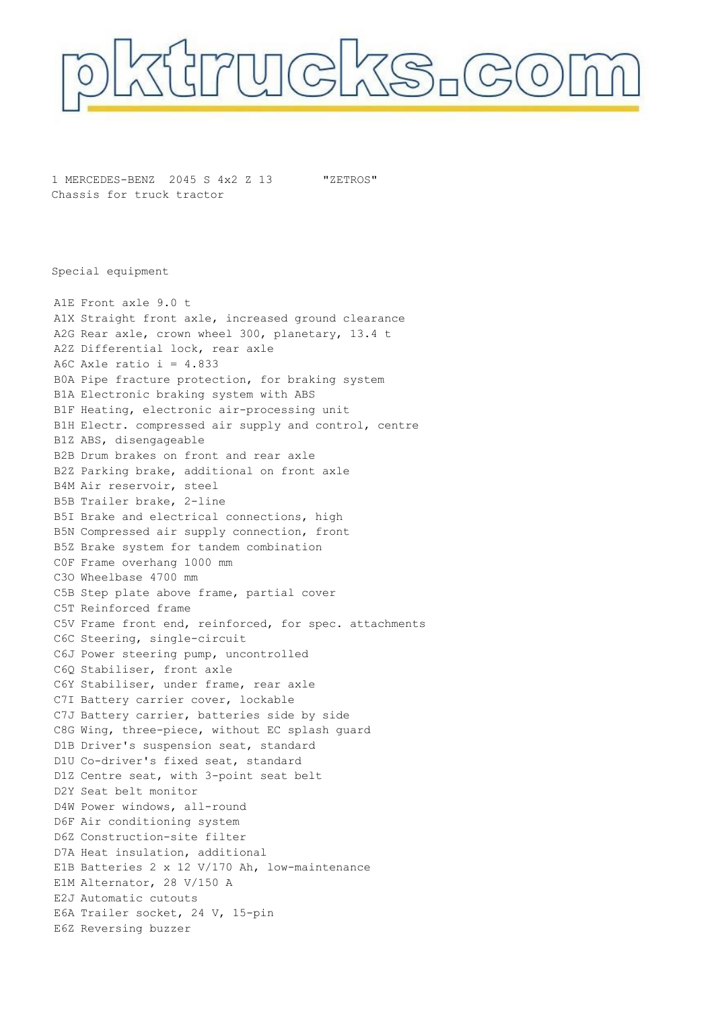

1 MERCEDES-BENZ 2045 S 4x2 Z 13 Chassis for truck tractor "ZETROS"

Special equipment

A1E Front axle 9.0 t A1X Straight front axle, increased ground clearance A2G Rear axle, crown wheel 300, planetary, 13.4 t A2Z Differential lock, rear axle A6C Axle ratio  $i = 4.833$ B0A Pipe fracture protection, for braking system B1A Electronic braking system with ABS B1F Heating, electronic air-processing unit B1H Electr. compressed air supply and control, centre B1Z ABS, disengageable B2B Drum brakes on front and rear axle B2Z Parking brake, additional on front axle B4M Air reservoir, steel B5B Trailer brake, 2-line B5I Brake and electrical connections, high B5N Compressed air supply connection, front B5Z Brake system for tandem combination C0F Frame overhang 1000 mm C3O Wheelbase 4700 mm C5B Step plate above frame, partial cover C5T Reinforced frame C5V Frame front end, reinforced, for spec. attachments C6C Steering, single-circuit C6J Power steering pump, uncontrolled C6Q Stabiliser, front axle C6Y Stabiliser, under frame, rear axle C7I Battery carrier cover, lockable C7J Battery carrier, batteries side by side C8G Wing, three-piece, without EC splash guard D1B Driver's suspension seat, standard D1U Co-driver's fixed seat, standard D1Z Centre seat, with 3-point seat belt D2Y Seat belt monitor D4W Power windows, all-round D6F Air conditioning system D6Z Construction-site filter D7A Heat insulation, additional E1B Batteries 2 x 12 V/170 Ah, low-maintenance E1M Alternator, 28 V/150 A E2J Automatic cutouts E6A Trailer socket, 24 V, 15-pin E6Z Reversing buzzer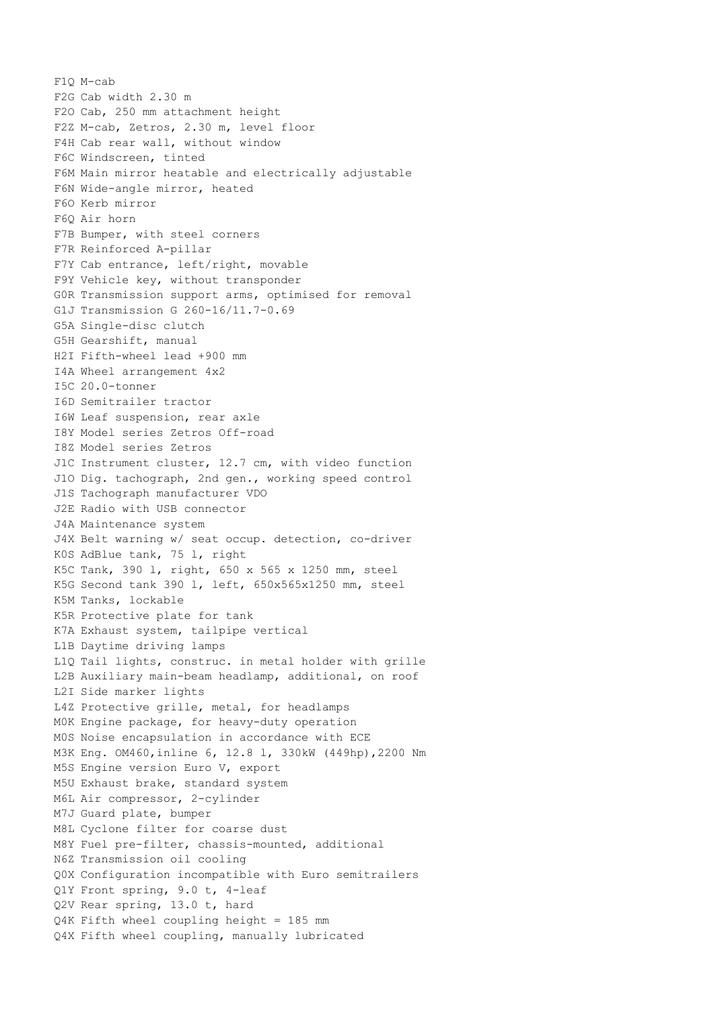F1Q M-cab F2G Cab width 2.30 m F2O Cab, 250 mm attachment height F2Z M-cab, Zetros, 2.30 m, level floor F4H Cab rear wall, without window F6C Windscreen, tinted F6M Main mirror heatable and electrically adjustable F6N Wide-angle mirror, heated F6O Kerb mirror F6Q Air horn F7B Bumper, with steel corners F7R Reinforced A-pillar F7Y Cab entrance, left/right, movable F9Y Vehicle key, without transponder G0R Transmission support arms, optimised for removal G1J Transmission G 260-16/11.7-0.69 G5A Single-disc clutch G5H Gearshift, manual H2I Fifth-wheel lead +900 mm I4A Wheel arrangement 4x2 I5C 20.0-tonner I6D Semitrailer tractor I6W Leaf suspension, rear axle I8Y Model series Zetros Off-road I8Z Model series Zetros J1C Instrument cluster, 12.7 cm, with video function J1O Dig. tachograph, 2nd gen., working speed control J1S Tachograph manufacturer VDO J2E Radio with USB connector J4A Maintenance system J4X Belt warning w/ seat occup. detection, co-driver K0S AdBlue tank, 75 l, right K5C Tank, 390 l, right, 650 x 565 x 1250 mm, steel K5G Second tank 390 l, left, 650x565x1250 mm, steel K5M Tanks, lockable K5R Protective plate for tank K7A Exhaust system, tailpipe vertical L1B Daytime driving lamps L1Q Tail lights, construc. in metal holder with grille L2B Auxiliary main-beam headlamp, additional, on roof L2I Side marker lights L4Z Protective grille, metal, for headlamps M0K Engine package, for heavy-duty operation M0S Noise encapsulation in accordance with ECE M3K Eng. OM460,inline 6, 12.8 l, 330kW (449hp),2200 Nm M5S Engine version Euro V, export M5U Exhaust brake, standard system M6L Air compressor, 2-cylinder M7J Guard plate, bumper M8L Cyclone filter for coarse dust M8Y Fuel pre-filter, chassis-mounted, additional N6Z Transmission oil cooling Q0X Configuration incompatible with Euro semitrailers Q1Y Front spring, 9.0 t, 4-leaf Q2V Rear spring, 13.0 t, hard Q4K Fifth wheel coupling height = 185 mm Q4X Fifth wheel coupling, manually lubricated